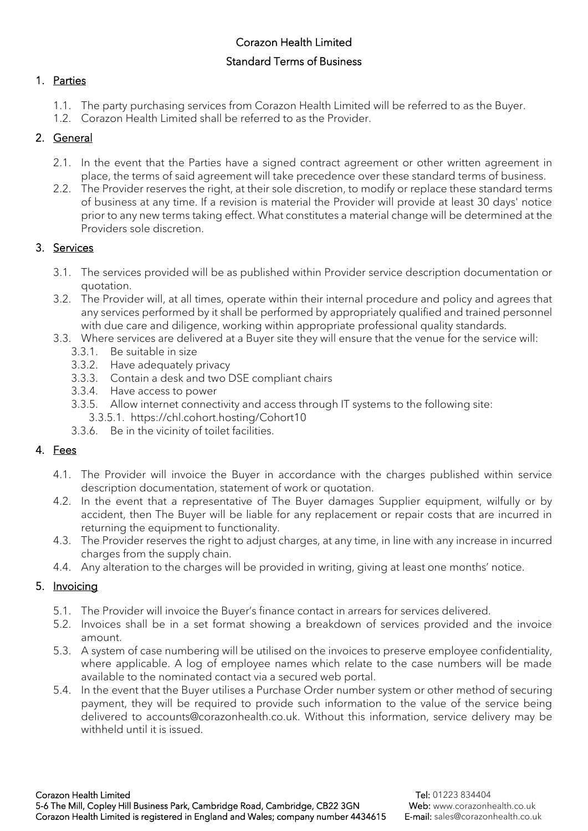# Corazon Health Limited Standard Terms of Business

# 1. Parties

- 1.1. The party purchasing services from Corazon Health Limited will be referred to as the Buyer.
- 1.2. Corazon Health Limited shall be referred to as the Provider.

# 2. General

- 2.1. In the event that the Parties have a signed contract agreement or other written agreement in place, the terms of said agreement will take precedence over these standard terms of business.
- 2.2. The Provider reserves the right, at their sole discretion, to modify or replace these standard terms of business at any time. If a revision is material the Provider will provide at least 30 days' notice prior to any new terms taking effect. What constitutes a material change will be determined at the Providers sole discretion.

# 3. Services

- 3.1. The services provided will be as published within Provider service description documentation or quotation.
- 3.2. The Provider will, at all times, operate within their internal procedure and policy and agrees that any services performed by it shall be performed by appropriately qualified and trained personnel with due care and diligence, working within appropriate professional quality standards.
- 3.3. Where services are delivered at a Buyer site they will ensure that the venue for the service will:
	- 3.3.1. Be suitable in size
	- 3.3.2. Have adequately privacy
	- 3.3.3. Contain a desk and two DSE compliant chairs
	- 3.3.4. Have access to power
	- 3.3.5. Allow internet connectivity and access through IT systems to the following site:
		- 3.3.5.1. https://chl.cohort.hosting/Cohort10
	- 3.3.6. Be in the vicinity of toilet facilities.

# 4. Fees

- 4.1. The Provider will invoice the Buyer in accordance with the charges published within service description documentation, statement of work or quotation.
- 4.2. In the event that a representative of The Buyer damages Supplier equipment, wilfully or by accident, then The Buyer will be liable for any replacement or repair costs that are incurred in returning the equipment to functionality.
- 4.3. The Provider reserves the right to adjust charges, at any time, in line with any increase in incurred charges from the supply chain.
- 4.4. Any alteration to the charges will be provided in writing, giving at least one months' notice.

# 5. Invoicing

- 5.1. The Provider will invoice the Buyer's finance contact in arrears for services delivered.
- 5.2. Invoices shall be in a set format showing a breakdown of services provided and the invoice amount.
- 5.3. A system of case numbering will be utilised on the invoices to preserve employee confidentiality, where applicable. A log of employee names which relate to the case numbers will be made available to the nominated contact via a secured web portal.
- 5.4. In the event that the Buyer utilises a Purchase Order number system or other method of securing payment, they will be required to provide such information to the value of the service being delivered to accounts@corazonhealth.co.uk. Without this information, service delivery may be withheld until it is issued.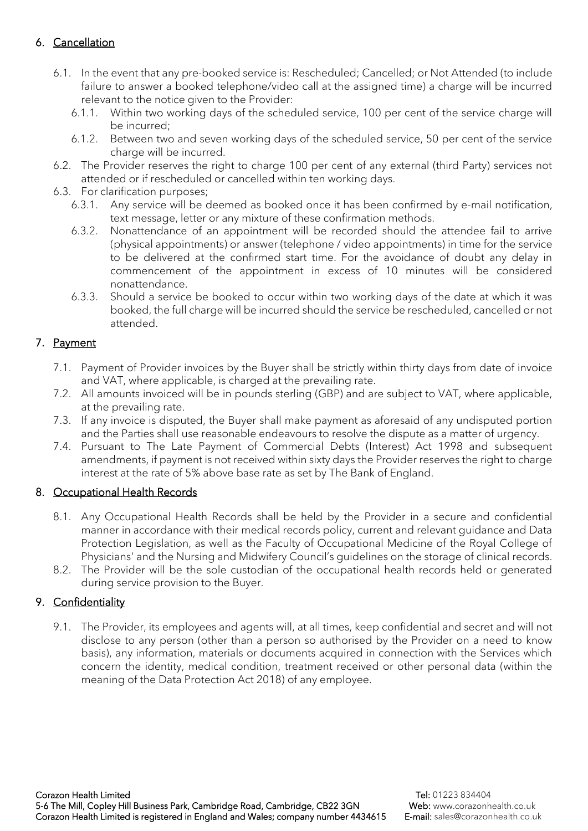# 6. Cancellation

- 6.1. In the event that any pre-booked service is: Rescheduled; Cancelled; or Not Attended (to include failure to answer a booked telephone/video call at the assigned time) a charge will be incurred relevant to the notice given to the Provider:
	- 6.1.1. Within two working days of the scheduled service, 100 per cent of the service charge will be incurred;
	- 6.1.2. Between two and seven working days of the scheduled service, 50 per cent of the service charge will be incurred.
- 6.2. The Provider reserves the right to charge 100 per cent of any external (third Party) services not attended or if rescheduled or cancelled within ten working days.
- 6.3. For clarification purposes;
	- 6.3.1. Any service will be deemed as booked once it has been confirmed by e-mail notification, text message, letter or any mixture of these confirmation methods.
	- 6.3.2. Nonattendance of an appointment will be recorded should the attendee fail to arrive (physical appointments) or answer (telephone / video appointments) in time for the service to be delivered at the confirmed start time. For the avoidance of doubt any delay in commencement of the appointment in excess of 10 minutes will be considered nonattendance.
	- 6.3.3. Should a service be booked to occur within two working days of the date at which it was booked, the full charge will be incurred should the service be rescheduled, cancelled or not attended.

## 7. Payment

- 7.1. Payment of Provider invoices by the Buyer shall be strictly within thirty days from date of invoice and VAT, where applicable, is charged at the prevailing rate.
- 7.2. All amounts invoiced will be in pounds sterling (GBP) and are subject to VAT, where applicable, at the prevailing rate.
- 7.3. If any invoice is disputed, the Buyer shall make payment as aforesaid of any undisputed portion and the Parties shall use reasonable endeavours to resolve the dispute as a matter of urgency.
- 7.4. Pursuant to The Late Payment of Commercial Debts (Interest) Act 1998 and subsequent amendments, if payment is not received within sixty days the Provider reserves the right to charge interest at the rate of 5% above base rate as set by The Bank of England.

## 8. Occupational Health Records

- 8.1. Any Occupational Health Records shall be held by the Provider in a secure and confidential manner in accordance with their medical records policy, current and relevant guidance and Data Protection Legislation, as well as the Faculty of Occupational Medicine of the Royal College of Physicians' and the Nursing and Midwifery Council's guidelines on the storage of clinical records.
- 8.2. The Provider will be the sole custodian of the occupational health records held or generated during service provision to the Buyer.

## 9. Confidentiality

9.1. The Provider, its employees and agents will, at all times, keep confidential and secret and will not disclose to any person (other than a person so authorised by the Provider on a need to know basis), any information, materials or documents acquired in connection with the Services which concern the identity, medical condition, treatment received or other personal data (within the meaning of the Data Protection Act 2018) of any employee.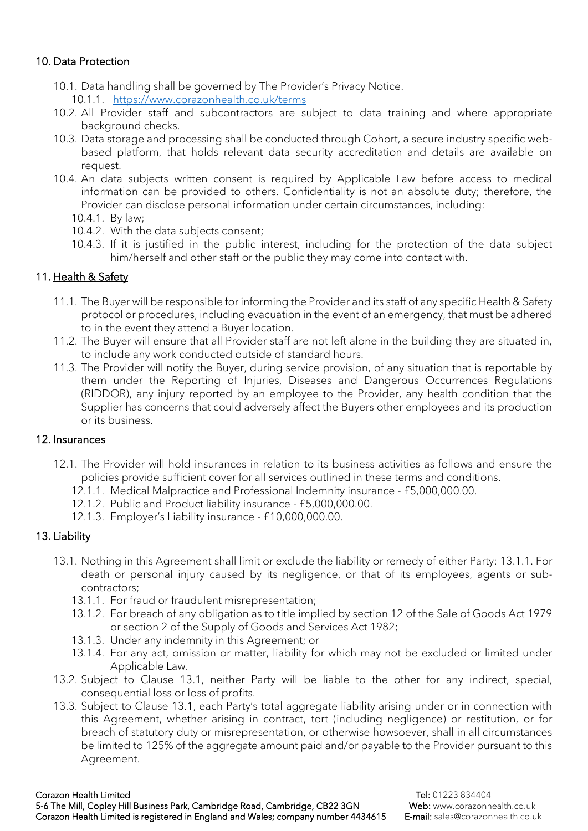### 10. Data Protection

- 10.1. Data handling shall be governed by The Provider's Privacy Notice.
	- 10.1.1. <https://www.corazonhealth.co.uk/terms>
- 10.2. All Provider staff and subcontractors are subject to data training and where appropriate background checks.
- 10.3. Data storage and processing shall be conducted through Cohort, a secure industry specific webbased platform, that holds relevant data security accreditation and details are available on request.
- 10.4. An data subjects written consent is required by Applicable Law before access to medical information can be provided to others. Confidentiality is not an absolute duty; therefore, the Provider can disclose personal information under certain circumstances, including:
	- 10.4.1. By law;
	- 10.4.2. With the data subjects consent;
	- 10.4.3. If it is justified in the public interest, including for the protection of the data subject him/herself and other staff or the public they may come into contact with.

### 11. Health & Safety

- 11.1. The Buyer will be responsible for informing the Provider and its staff of any specific Health & Safety protocol or procedures, including evacuation in the event of an emergency, that must be adhered to in the event they attend a Buyer location.
- 11.2. The Buyer will ensure that all Provider staff are not left alone in the building they are situated in, to include any work conducted outside of standard hours.
- 11.3. The Provider will notify the Buyer, during service provision, of any situation that is reportable by them under the Reporting of Injuries, Diseases and Dangerous Occurrences Regulations (RIDDOR), any injury reported by an employee to the Provider, any health condition that the Supplier has concerns that could adversely affect the Buyers other employees and its production or its business.

#### 12. Insurances

- 12.1. The Provider will hold insurances in relation to its business activities as follows and ensure the policies provide sufficient cover for all services outlined in these terms and conditions.
	- 12.1.1. Medical Malpractice and Professional Indemnity insurance £5,000,000.00.
	- 12.1.2. Public and Product liability insurance £5,000,000.00.
	- 12.1.3. Employer's Liability insurance £10,000,000.00.

#### 13. Liability

- 13.1. Nothing in this Agreement shall limit or exclude the liability or remedy of either Party: 13.1.1. For death or personal injury caused by its negligence, or that of its employees, agents or subcontractors;
	- 13.1.1. For fraud or fraudulent misrepresentation;
	- 13.1.2. For breach of any obligation as to title implied by section 12 of the Sale of Goods Act 1979 or section 2 of the Supply of Goods and Services Act 1982;
	- 13.1.3. Under any indemnity in this Agreement; or
	- 13.1.4. For any act, omission or matter, liability for which may not be excluded or limited under Applicable Law.
- 13.2. Subject to Clause 13.1, neither Party will be liable to the other for any indirect, special, consequential loss or loss of profits.
- 13.3. Subject to Clause 13.1, each Party's total aggregate liability arising under or in connection with this Agreement, whether arising in contract, tort (including negligence) or restitution, or for breach of statutory duty or misrepresentation, or otherwise howsoever, shall in all circumstances be limited to 125% of the aggregate amount paid and/or payable to the Provider pursuant to this Agreement.